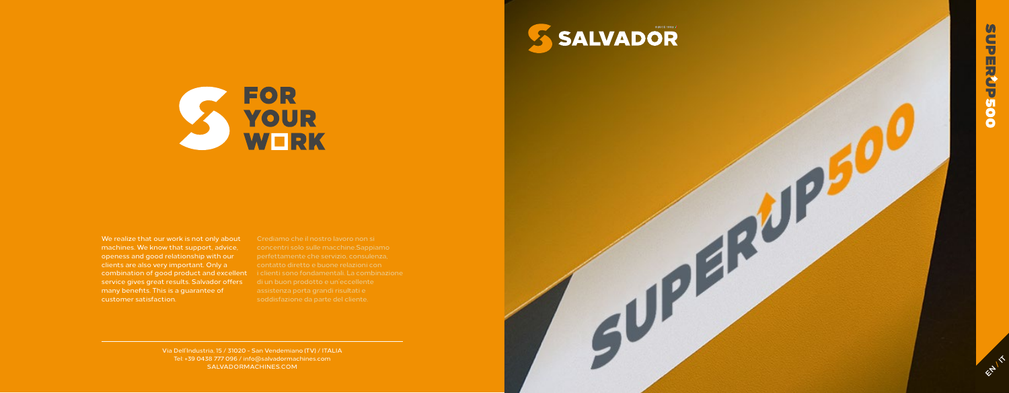Via Dell'Industria, 15 / 31020 - San Vendemiano (TV) / ITALIA Tel: +39 0438 777 096 / info@salvadormachines.com SALVADORMACHINES.COM

**EN 15** 





We realize that our work is not only about machines. We know that support, advice, openess and good relationship with our clients are also very important. Only a combination of good product and excellent service gives great results. Salvador offers many benefits. This is a guarantee of customer satisfaction.